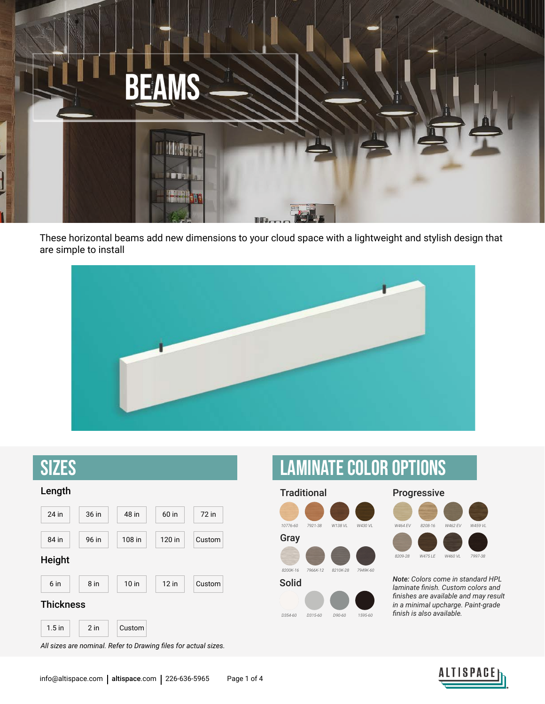

These horizontal beams add new dimensions to your cloud space with a lightweight and stylish design that are simple to install





*All sizes are nominal. Refer to Drawing files for actual sizes.*

## Laminate Color options

Traditional **Progressive** 





Solid *Note: Colors come in standard HPL laminate finish. Custom colors and finishes are available and may result in a minimal upcharge. Paint-grade finish is also available.*

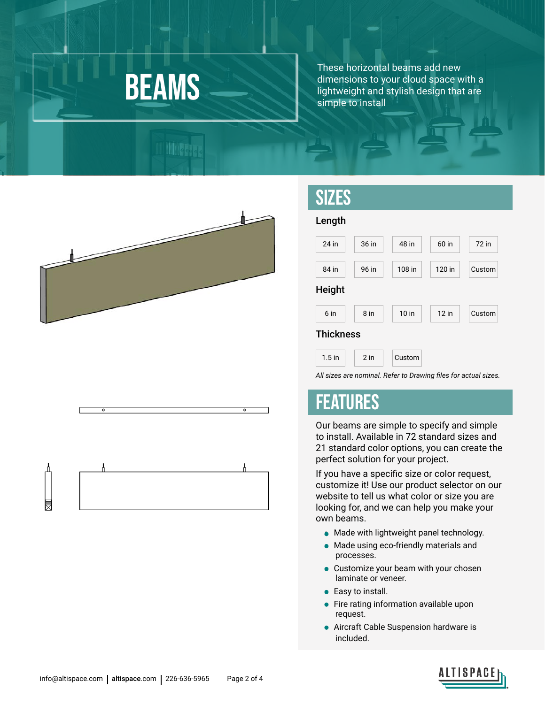# **BEAMS**

**Milletia** 

These horizontal beams add new dimensions to your cloud space with a lightweight and stylish design that are simple to install



### **SIZES**



*All sizes are nominal. Refer to Drawing files for actual sizes.*

#### FEATURES

Our beams are simple to specify and simple to install. Available in 72 standard sizes and 21 standard color options, you can create the perfect solution for your project.

If you have a specific size or color request, customize it! Use our product selector on our website to tell us what color or size you are looking for, and we can help you make your own beams.

- Made with lightweight panel technology.
- Made using eco-friendly materials and processes.
- Customize your beam with your chosen laminate or veneer.
- Easy to install.
- Fire rating information available upon request.
- Aircraft Cable Suspension hardware is included.





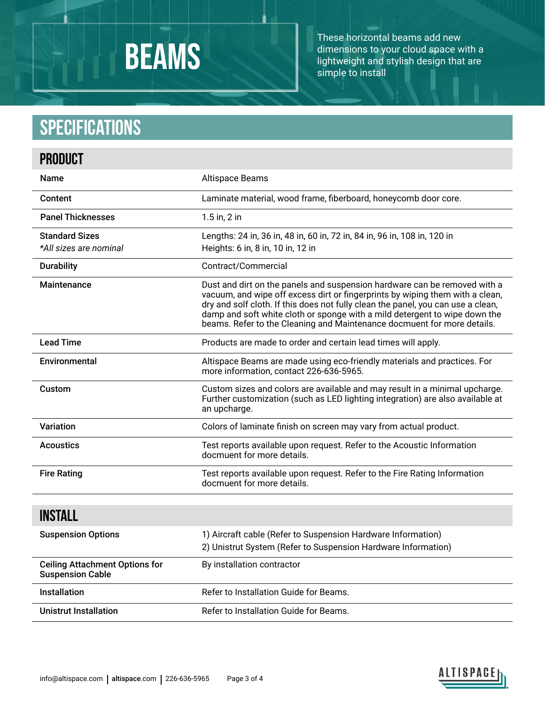# **BEAMS**

These horizontal beams add new dimensions to your cloud space with a lightweight and stylish design that are simple to install

### **Specifications**

| <b>PRODUCT</b>                                                   |                                                                                                                                                                                                                                                                                                                                                                                                         |  |
|------------------------------------------------------------------|---------------------------------------------------------------------------------------------------------------------------------------------------------------------------------------------------------------------------------------------------------------------------------------------------------------------------------------------------------------------------------------------------------|--|
| <b>Name</b>                                                      | Altispace Beams                                                                                                                                                                                                                                                                                                                                                                                         |  |
| Content                                                          | Laminate material, wood frame, fiberboard, honeycomb door core.                                                                                                                                                                                                                                                                                                                                         |  |
| <b>Panel Thicknesses</b>                                         | 1.5 in, 2 in                                                                                                                                                                                                                                                                                                                                                                                            |  |
| <b>Standard Sizes</b><br>*All sizes are nominal                  | Lengths: 24 in, 36 in, 48 in, 60 in, 72 in, 84 in, 96 in, 108 in, 120 in<br>Heights: 6 in, 8 in, 10 in, 12 in                                                                                                                                                                                                                                                                                           |  |
| <b>Durability</b>                                                | Contract/Commercial                                                                                                                                                                                                                                                                                                                                                                                     |  |
| Maintenance                                                      | Dust and dirt on the panels and suspension hardware can be removed with a<br>vacuum, and wipe off excess dirt or fingerprints by wiping them with a clean,<br>dry and solf cloth. If this does not fully clean the panel, you can use a clean,<br>damp and soft white cloth or sponge with a mild detergent to wipe down the<br>beams. Refer to the Cleaning and Maintenance docmuent for more details. |  |
| <b>Lead Time</b>                                                 | Products are made to order and certain lead times will apply.                                                                                                                                                                                                                                                                                                                                           |  |
| Environmental                                                    | Altispace Beams are made using eco-friendly materials and practices. For<br>more information, contact 226-636-5965.                                                                                                                                                                                                                                                                                     |  |
| Custom                                                           | Custom sizes and colors are available and may result in a minimal upcharge.<br>Further customization (such as LED lighting integration) are also available at<br>an upcharge.                                                                                                                                                                                                                           |  |
| <b>Variation</b>                                                 | Colors of laminate finish on screen may vary from actual product.                                                                                                                                                                                                                                                                                                                                       |  |
| <b>Acoustics</b>                                                 | Test reports available upon request. Refer to the Acoustic Information<br>docmuent for more details.                                                                                                                                                                                                                                                                                                    |  |
| <b>Fire Rating</b>                                               | Test reports available upon request. Refer to the Fire Rating Information<br>docmuent for more details.                                                                                                                                                                                                                                                                                                 |  |
| <b>INSTALL</b>                                                   |                                                                                                                                                                                                                                                                                                                                                                                                         |  |
| <b>Suspension Options</b>                                        | 1) Aircraft cable (Refer to Suspension Hardware Information)<br>2) Unistrut System (Refer to Suspension Hardware Information)                                                                                                                                                                                                                                                                           |  |
| <b>Ceiling Attachment Options for</b><br><b>Suspension Cable</b> | By installation contractor                                                                                                                                                                                                                                                                                                                                                                              |  |
| Installation                                                     | Refer to Installation Guide for Beams.                                                                                                                                                                                                                                                                                                                                                                  |  |
| <b>Unistrut Installation</b>                                     | Refer to Installation Guide for Beams.                                                                                                                                                                                                                                                                                                                                                                  |  |